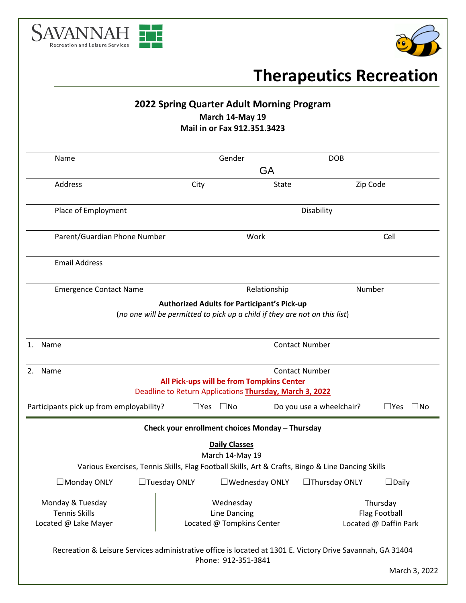



# **Therapeutics Recreation**

|                                                                                                            | 2022 Spring Quarter Adult Morning Program                                                            | March 14-May 19<br>Mail in or Fax 912.351.3423                                                      |                       |                          |                                                           |  |
|------------------------------------------------------------------------------------------------------------|------------------------------------------------------------------------------------------------------|-----------------------------------------------------------------------------------------------------|-----------------------|--------------------------|-----------------------------------------------------------|--|
| Name                                                                                                       |                                                                                                      | Gender                                                                                              |                       |                          | <b>DOB</b>                                                |  |
|                                                                                                            |                                                                                                      |                                                                                                     | <b>GA</b>             |                          |                                                           |  |
| Address                                                                                                    | City                                                                                                 |                                                                                                     | State                 |                          | Zip Code                                                  |  |
| Place of Employment                                                                                        |                                                                                                      | Disability                                                                                          |                       |                          |                                                           |  |
| Parent/Guardian Phone Number                                                                               |                                                                                                      | Work                                                                                                |                       |                          | Cell                                                      |  |
| <b>Email Address</b>                                                                                       |                                                                                                      |                                                                                                     |                       |                          |                                                           |  |
| <b>Emergence Contact Name</b>                                                                              |                                                                                                      | Relationship                                                                                        |                       |                          | Number                                                    |  |
| 1. Name                                                                                                    |                                                                                                      | (no one will be permitted to pick up a child if they are not on this list)<br><b>Contact Number</b> |                       |                          |                                                           |  |
| 2. Name                                                                                                    | All Pick-ups will be from Tompkins Center<br>Deadline to Return Applications Thursday, March 3, 2022 |                                                                                                     |                       | <b>Contact Number</b>    |                                                           |  |
| Participants pick up from employability?                                                                   | $\square$ Yes                                                                                        | $\square$ No                                                                                        |                       | Do you use a wheelchair? | $\square$ No<br>$\square$ Yes                             |  |
|                                                                                                            | Check your enrollment choices Monday - Thursday                                                      |                                                                                                     |                       |                          |                                                           |  |
|                                                                                                            | Various Exercises, Tennis Skills, Flag Football Skills, Art & Crafts, Bingo & Line Dancing Skills    | <b>Daily Classes</b><br>March 14-May 19                                                             |                       |                          |                                                           |  |
| $\Box$ Monday ONLY                                                                                         | $\Box$ Tuesday ONLY                                                                                  |                                                                                                     | $\Box$ Wednesday ONLY | $\Box$ Thursday ONLY     | $\Box$ Daily                                              |  |
| Monday & Tuesday<br><b>Tennis Skills</b><br>Located @ Lake Mayer                                           |                                                                                                      | Wednesday<br><b>Line Dancing</b><br>Located @ Tompkins Center                                       |                       |                          | Thursday<br><b>Flag Football</b><br>Located @ Daffin Park |  |
| Recreation & Leisure Services administrative office is located at 1301 E. Victory Drive Savannah, GA 31404 |                                                                                                      | Phone: 912-351-3841                                                                                 |                       |                          |                                                           |  |
|                                                                                                            |                                                                                                      |                                                                                                     |                       |                          | March 3, 2022                                             |  |